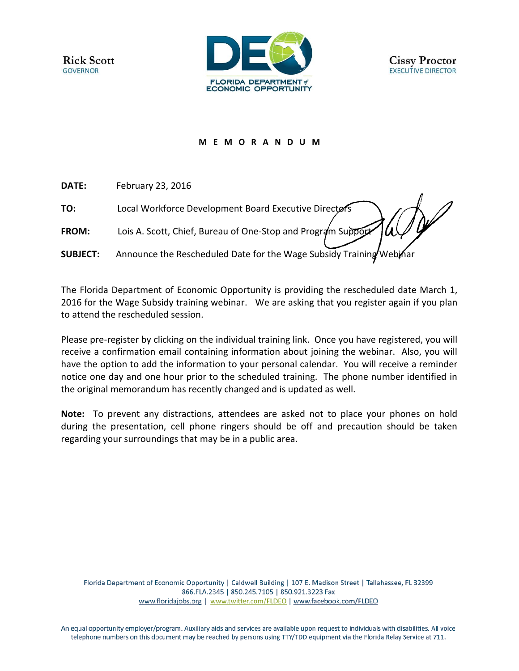

## **M E M O R A N D U M**

**DATE:** February 23, 2016

**TO:** Local Workforce Development Board Executive Directors

**FROM:** Lois A. Scott, Chief, Bureau of One-Stop and Program Support

**SUBJECT:** Announce the Rescheduled Date for the Wage Subsidy Training Web

The Florida Department of Economic Opportunity is providing the rescheduled date March 1, 2016 for the Wage Subsidy training webinar. We are asking that you register again if you plan to attend the rescheduled session.

Please pre-register by clicking on the individual training link. Once you have registered, you will receive a confirmation email containing information about joining the webinar. Also, you will have the option to add the information to your personal calendar. You will receive a reminder notice one day and one hour prior to the scheduled training. The phone number identified in the original memorandum has recently changed and is updated as well.

**Note:** To prevent any distractions, attendees are asked not to place your phones on hold during the presentation, cell phone ringers should be off and precaution should be taken regarding your surroundings that may be in a public area.

Florida Department of Economic Opportunity | Caldwell Building | 107 E. Madison Street | Tallahassee, FL 32399 866.FLA.2345 | 850.245.7105 | 850.921.3223 Fax www.floridajobs.org | www.twitter.com/FLDEO | www.facebook.com/FLDEO